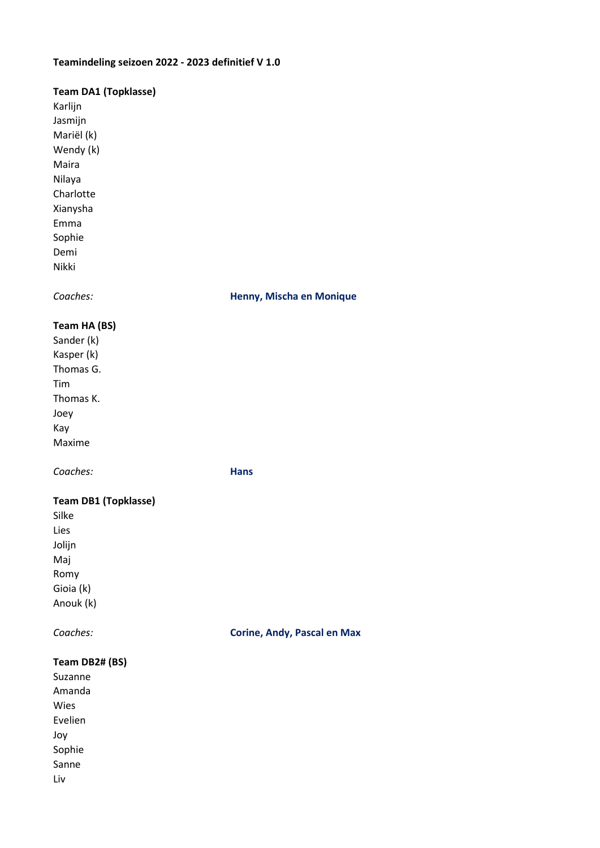# Teamindeling seizoen 2022 - 2023 definitief V 1.0

### Team DA1 (Topklasse)

Karlijn Jasmijn Mariël (k) Wendy (k) Maira Nilaya **Charlotte** Xianysha Emma Sophie Demi Nikki

### Coaches: Henny, Mischa en Monique

# Team HA (BS)

Sander (k) Kasper (k) Thomas G. Tim Thomas K. Joey Kay Maxime

Coaches: Hans

# Team DB1 (Topklasse)

Silke Lies Jolijn Maj Romy Gioia (k) Anouk (k)

Coaches: Corine, Andy, Pascal en Max

### Team DB2# (BS)

Suzanne Amanda Wies Evelien Joy Sophie Sanne Liv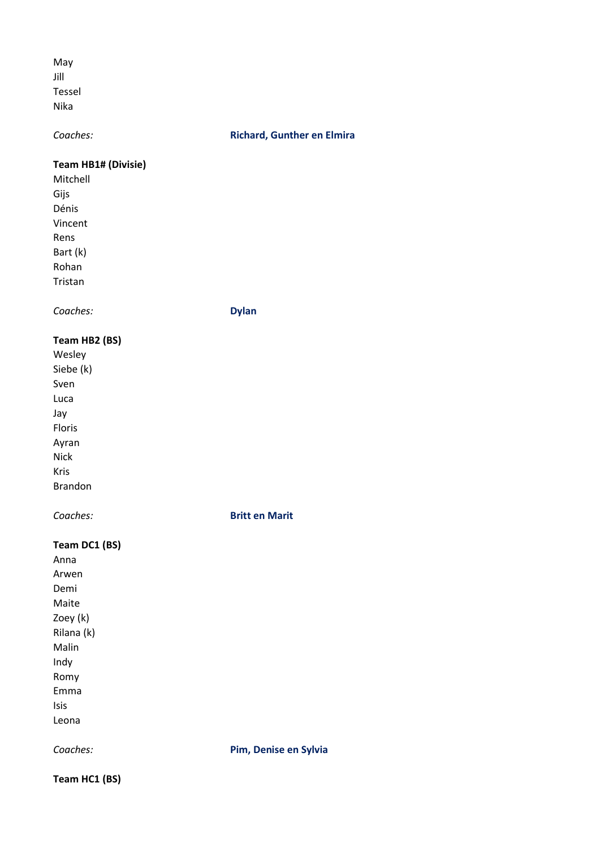May Jill Tessel Nika

#### Coaches: Coaches: Richard, Gunther en Elmira

#### Team HB1# (Divisie)

Mitchell Gijs Dénis Vincent Rens Bart (k) Rohan Tristan

Coaches: Dylan

# Team HB2 (BS)

Wesley Siebe (k) Sven Luca Jay Floris Ayran Nick Kris Brandon

Coaches: Britt en Marit

#### Team DC1 (BS)

Anna Arwen Demi Maite Zoey (k) Rilana (k) Malin Indy Romy Emma Isis Leona

Coaches: **Pim, Denise en Sylvia** 

Team HC1 (BS)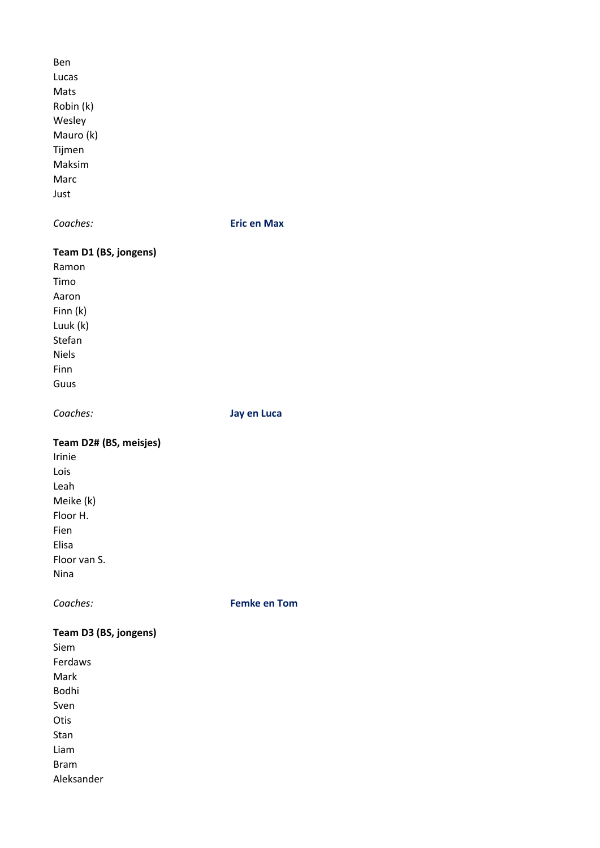Ben Lucas Mats Robin (k) Wesley Mauro (k) Tijmen Maksim Marc Just

Coaches: Eric en Max

### Team D1 (BS, jongens)

Ramon Timo Aaron Finn (k) Luuk (k) Stefan Niels Finn Guus

Coaches: Jay en Luca

# Team D2# (BS, meisjes)

Irinie Lois Leah Meike (k) Floor H. Fien Elisa Floor van S. Nina

Coaches: Femke en Tom

### Team D3 (BS, jongens) Siem

Ferdaws Mark Bodhi Sven Otis Stan Liam Bram Aleksander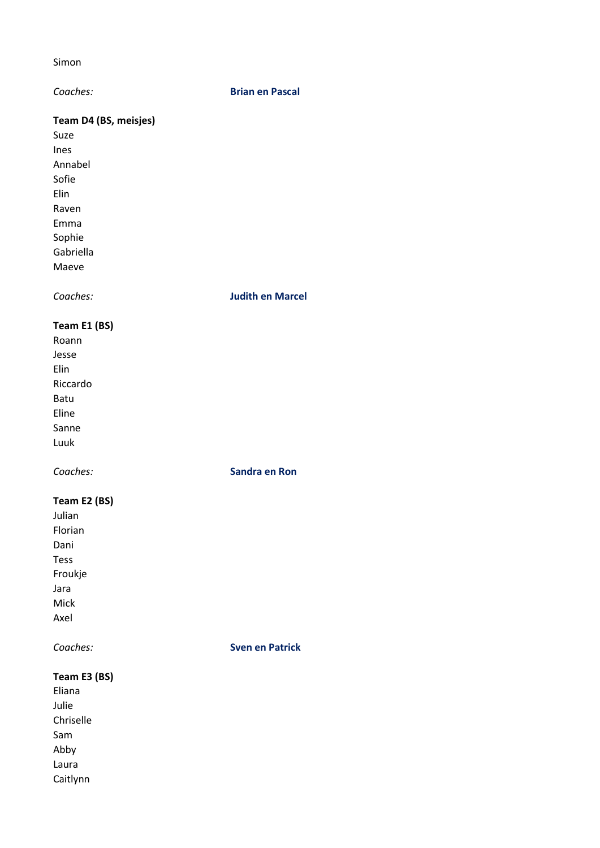#### Simon

#### Coaches: Brian en Pascal

# Team D4 (BS, meisjes)

Suze Ines Annabel Sofie Elin Raven Emma Sophie Gabriella Maeve

Coaches: Judith en Marcel

# Team E1 (BS)

Roann Jesse Elin Riccardo Batu Eline Sanne Luuk

Coaches: Sandra en Ron

### Team E2 (BS)

Julian Florian Dani Tess Froukje Jara Mick Axel

Coaches: Sven en Patrick

### Team E3 (BS)

Eliana Julie Chriselle Sam Abby Laura Caitlynn